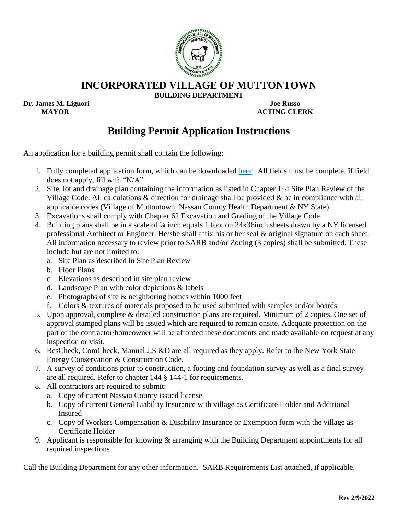

**INCORPORATED VILLAGE OF MUTTONTOWN**

**BUILDING DEPARTMENT**

**Dr. James M. Liguori Joe Russo**

 **MAYOR ACTING CLERK**

## **Building Permit Application Instructions**

An application for a building permit shall contain the following:

- 1. Fully completed application form, which can be downloaded [here.](https://www.muttontownny.gov/wp-content/uploads/2022/02/BPA-201-v2.pdf) All fields must be complete. If field does not apply, fill with "N/A"
- 2. Site, lot and drainage plan containing the information as listed in Chapter 144 Site Plan Review of the Village Code. All calculations & direction for drainage shall be provided & be in compliance with all applicable codes (Village of Muttontown, Nassau County Health Department & NY State)
- 3. Excavations shall comply with Chapter 62 Excavation and Grading of the Village Code
- 4. Building plans shall be in a scale of ¼ inch equals 1 foot on 24x36inch sheets drawn by a NY licensed professional Architect or Engineer. He/she shall affix his or her seal & original signature on each sheet. All information necessary to review prior to SARB and/or Zoning (3 copies) shall be submitted. These include but are not limited to:
	- a. Site Plan as described in Site Plan Review
	- b. Floor Plans
	- c. Elevations as described in site plan review
	- d. Landscape Plan with color depictions & labels
	- e. Photographs of site & neighboring homes within 1000 feet
	- f. Colors & textures of materials proposed to be used submitted with samples and/or boards
- 5. Upon approval, complete & detailed construction plans are required. Minimum of 2 copies. One set of approval stamped plans will be issued which are required to remain onsite. Adequate protection on the part of the contractor/homeowner will be afforded these documents and made available on request at any inspection or visit.
- 6. ResCheck, ComCheck, Manual J,S &D are all required as they apply. Refer to the New York State Energy Conservation & Construction Code.
- 7. A survey of conditions prior to construction, a footing and foundation survey as well as a final survey are all required. Refer to chapter 144 § 144-1 for requirements.
- 8. All contractors are required to submit:
	- a. Copy of current Nassau County issued license
	- b. Copy of current General Liability Insurance with village as Certificate Holder and Additional Insured
	- c. Copy of Workers Compensation & Disability Insurance or Exemption form with the village as Certificate Holder
- 9. Applicant is responsible for knowing & arranging with the Building Department appointments for all required inspections

Call the Building Department for any other information. SARB Requirements List attached, if applicable.